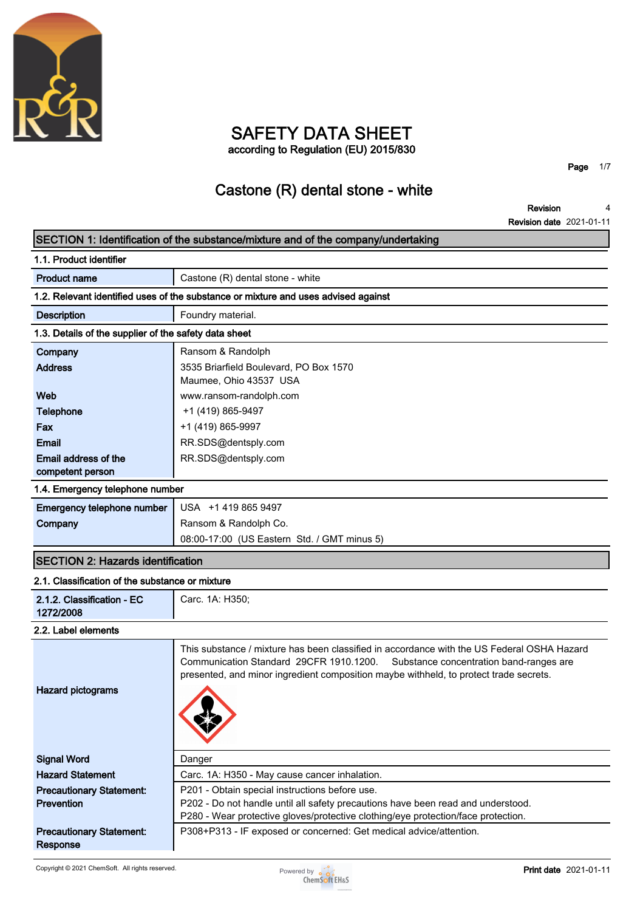

## **SAFETY DATA SHEET according to Regulation (EU) 2015/830**

**Page 1/7**

# **Castone (R) dental stone - white**

**Revision Revision date 2021-01-11 4**

## **SECTION 1: Identification of the substance/mixture and of the company/undertaking 1.1. Product identifier Product name Castone (R)** dental stone - white **1.2. Relevant identified uses of the substance or mixture and uses advised against Description Foundry material. 1.3. Details of the supplier of the safety data sheet Company Ransom & Randolph Address 3535 Briarfield Boulevard, PO Box 1570 Maumee, Ohio 43537 USA Web www.ransom-randolph.com Telephone**  $+1 (419) 865-9497$ **Fax +1 (419) 865-9997 Email RR.SDS@dentsply.com Email address of the competent person RR.SDS@dentsply.com 1.4. Emergency telephone number Emergency telephone number USA +1 419 865 9497 Company Ransom & Randolph Co. 08:00-17:00 (US Eastern Std. / GMT minus 5) SECTION 2: Hazards identification 2.1. Classification of the substance or mixture 2.1.2. Classification - EC 1272/2008 Carc. 1A: H350; 2.2. Label elements This substance / mixture has been classified in accordance with the US Federal OSHA Hazard Communication Standard 29CFR 1910.1200. Substance concentration band-ranges are presented, and minor ingredient composition maybe withheld, to protect trade secrets. Hazard pictograms Signal Word Danger Hazard Statement Carc. 1A: H350 - May cause cancer inhalation. Precautionary Statement: Prevention P201 - Obtain special instructions before use. P202 - Do not handle until all safety precautions have been read and understood. P280 - Wear protective gloves/protective clothing/eye protection/face protection. Precautionary Statement: Response P308+P313 - IF exposed or concerned: Get medical advice/attention.**

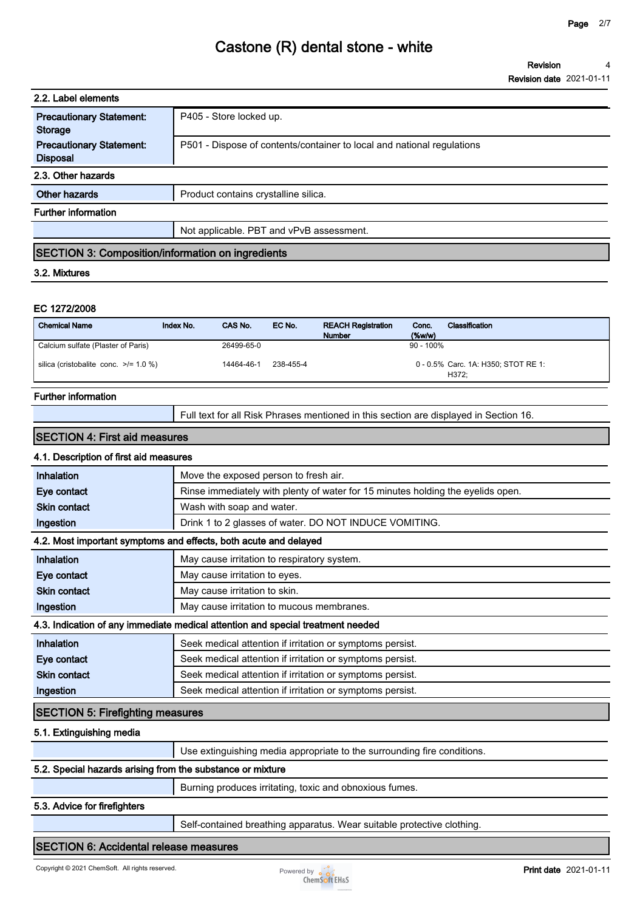| 2.2. Label elements                                      |                                                                        |  |
|----------------------------------------------------------|------------------------------------------------------------------------|--|
| <b>Precautionary Statement:</b><br>Storage               | P405 - Store locked up.                                                |  |
| <b>Precautionary Statement:</b><br><b>Disposal</b>       | P501 - Dispose of contents/container to local and national regulations |  |
| 2.3. Other hazards                                       |                                                                        |  |
| Other hazards                                            | Product contains crystalline silica.                                   |  |
| <b>Further information</b>                               |                                                                        |  |
|                                                          | Not applicable. PBT and vPvB assessment.                               |  |
| <b>SECTION 3: Composition/information on ingredients</b> |                                                                        |  |

#### **3.2. Mixtures**

#### **EC 1272/2008**

| <b>Chemical Name</b>                       | Index No. | CAS No.    | EC No.    | <b>REACH Registration</b><br><b>Number</b> | Conc.<br>$(\%w/w)$ | Classification                               |
|--------------------------------------------|-----------|------------|-----------|--------------------------------------------|--------------------|----------------------------------------------|
| Calcium sulfate (Plaster of Paris)         |           | 26499-65-0 |           |                                            | $90 - 100\%$       |                                              |
| silica (cristobalite conc. $\ge$ /= 1.0 %) |           | 14464-46-1 | 238-455-4 |                                            |                    | 0 - 0.5% Carc. 1A: H350; STOT RE 1:<br>H372: |

#### **Further information**

**Full text for all Risk Phrases mentioned in this section are displayed in Section 16.**

#### **SECTION 4: First aid measures**

### **4.1. Description of first aid measures**

| <b>Inhalation</b>                       | Move the exposed person to fresh air.                                           |  |  |
|-----------------------------------------|---------------------------------------------------------------------------------|--|--|
| Eye contact                             | Rinse immediately with plenty of water for 15 minutes holding the eyelids open. |  |  |
| <b>Skin contact</b>                     | Wash with soap and water.                                                       |  |  |
| Ingestion                               | Drink 1 to 2 glasses of water. DO NOT INDUCE VOMITING.                          |  |  |
|                                         | 4.2. Most important symptoms and effects, both acute and delayed                |  |  |
| <b>Inhalation</b>                       | May cause irritation to respiratory system.                                     |  |  |
| Eye contact                             | May cause irritation to eyes.                                                   |  |  |
| <b>Skin contact</b>                     | May cause irritation to skin.                                                   |  |  |
| Ingestion                               | May cause irritation to mucous membranes.                                       |  |  |
|                                         | 4.3. Indication of any immediate medical attention and special treatment needed |  |  |
| Inhalation                              | Seek medical attention if irritation or symptoms persist.                       |  |  |
| Eye contact                             | Seek medical attention if irritation or symptoms persist.                       |  |  |
| <b>Skin contact</b>                     | Seek medical attention if irritation or symptoms persist.                       |  |  |
| Ingestion                               | Seek medical attention if irritation or symptoms persist.                       |  |  |
| <b>SECTION 5: Firefighting measures</b> |                                                                                 |  |  |

#### **5.1. Extinguishing media**

| Use extinguishing media appropriate to the surrounding fire conditions. |  |
|-------------------------------------------------------------------------|--|
| 5.2. Special hazards arising from the substance or mixture              |  |
| Burning produces irritating, toxic and obnoxious fumes.                 |  |

#### **5.3. Advice for firefighters**

**Self-contained breathing apparatus. Wear suitable protective clothing.**

#### **SECTION 6: Accidental release measures**

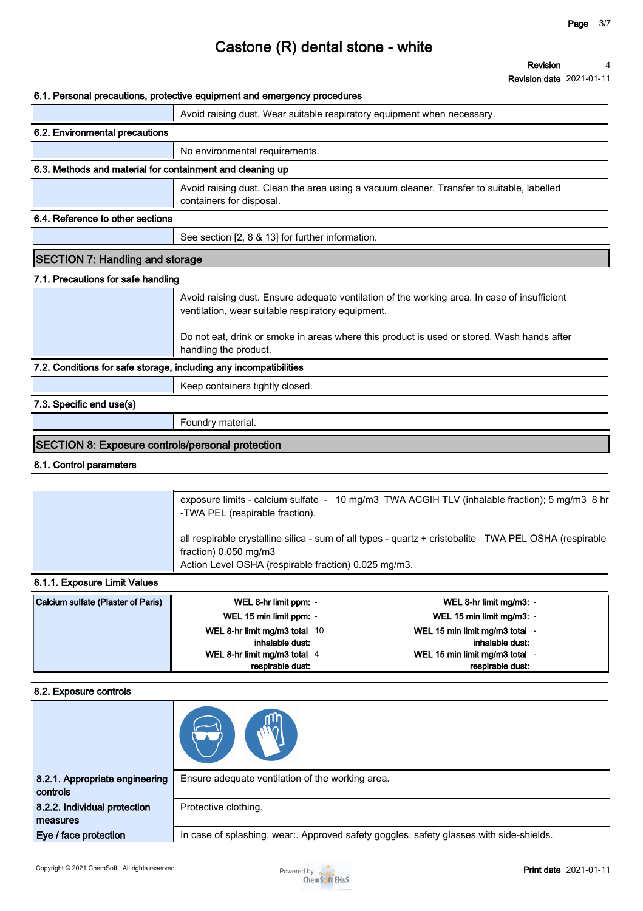**Revision 4**

**Revision date 2021-01-11**

#### **6.1. Personal precautions, protective equipment and emergency procedures**

|                                                                   | v. i. i cisoliai precautoris, protective equipment and emergency procedures                                                                       |
|-------------------------------------------------------------------|---------------------------------------------------------------------------------------------------------------------------------------------------|
|                                                                   | Avoid raising dust. Wear suitable respiratory equipment when necessary.                                                                           |
| 6.2. Environmental precautions                                    |                                                                                                                                                   |
|                                                                   | No environmental requirements.                                                                                                                    |
| 6.3. Methods and material for containment and cleaning up         |                                                                                                                                                   |
|                                                                   | Avoid raising dust. Clean the area using a vacuum cleaner. Transfer to suitable, labelled<br>containers for disposal.                             |
| 6.4. Reference to other sections                                  |                                                                                                                                                   |
|                                                                   | See section [2, 8 & 13] for further information.                                                                                                  |
| <b>SECTION 7: Handling and storage</b>                            |                                                                                                                                                   |
| 7.1. Precautions for safe handling                                |                                                                                                                                                   |
|                                                                   | Avoid raising dust. Ensure adequate ventilation of the working area. In case of insufficient<br>ventilation, wear suitable respiratory equipment. |
|                                                                   | Do not eat, drink or smoke in areas where this product is used or stored. Wash hands after<br>handling the product.                               |
| 7.2. Conditions for safe storage, including any incompatibilities |                                                                                                                                                   |
|                                                                   | Keep containers tightly closed.                                                                                                                   |
| 7.3. Specific end use(s)                                          |                                                                                                                                                   |
|                                                                   | Foundry material.                                                                                                                                 |
| SECTION 8: Exposure controls/personal protection                  |                                                                                                                                                   |

#### **8.1. Control parameters**

| all respirable crystalline silica - sum of all types - quartz + cristobalite TWA PEL OSHA (respirable<br>fraction) $0.050$ mg/m3<br>Action Level OSHA (respirable fraction) 0.025 mg/m3. | exposure limits - calcium sulfate - 10 mg/m3 TWA ACGIH TLV (inhalable fraction); 5 mg/m3 8 hr<br>-TWA PEL (respirable fraction). |
|------------------------------------------------------------------------------------------------------------------------------------------------------------------------------------------|----------------------------------------------------------------------------------------------------------------------------------|
|                                                                                                                                                                                          |                                                                                                                                  |

#### **8.1.1. Exposure Limit Values**

| Calcium sulfate (Plaster of Paris) | WEL 8-hr limit ppm: -         | WEL 8-hr limit mg/m3: -      |
|------------------------------------|-------------------------------|------------------------------|
|                                    | WEL 15 min limit ppm: -       | WEL 15 min limit mg/m3: -    |
|                                    | WEL 8-hr limit mg/m3 total 10 | WEL 15 min limit mg/m3 total |
|                                    | inhalable dust:               | inhalable dust:              |
|                                    | WEL 8-hr limit mg/m3 total 4  | WEL 15 min limit mg/m3 total |
|                                    | respirable dust:              | respirable dust:             |

#### **8.2. Exposure controls**

| 8.2.1. Appropriate engineering<br>controls | Ensure adequate ventilation of the working area.                                        |
|--------------------------------------------|-----------------------------------------------------------------------------------------|
| 8.2.2. Individual protection<br>measures   | Protective clothing.                                                                    |
| Eye / face protection                      | In case of splashing, wear:. Approved safety goggles. safety glasses with side-shields. |

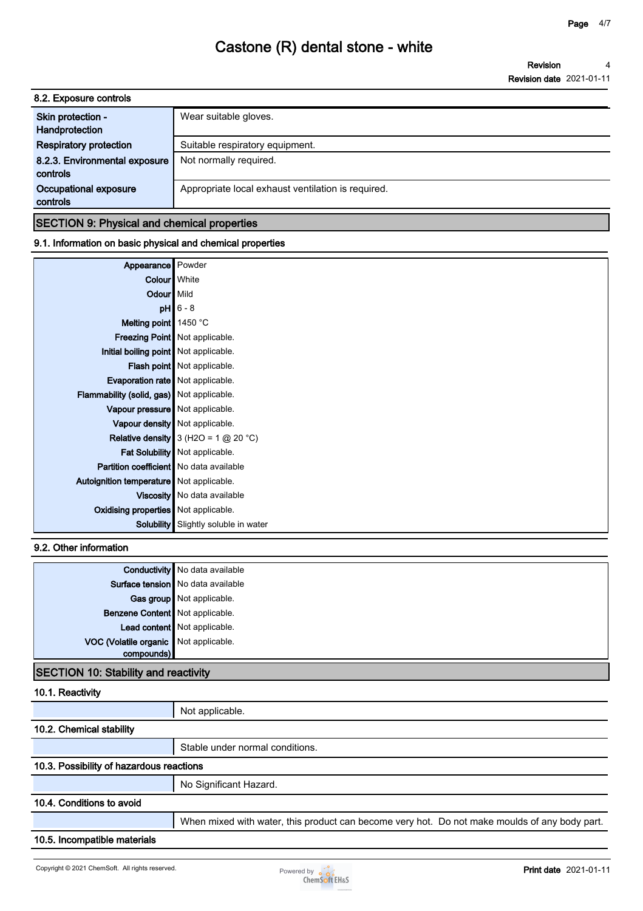**Revision Revision date 2021-01-11 4**

| Appropriate local exhaust ventilation is required. |
|----------------------------------------------------|
|                                                    |

### **SECTION 9: Physical and chemical properties**

### **9.1. Information on basic physical and chemical properties**

| Appearance Powder                              |                                             |
|------------------------------------------------|---------------------------------------------|
| Colour White                                   |                                             |
| Odour Mild                                     |                                             |
|                                                | $pH$ 6 - 8                                  |
| Melting point 1450 °C                          |                                             |
|                                                | <b>Freezing Point   Not applicable.</b>     |
| Initial boiling point   Not applicable.        |                                             |
|                                                | Flash point   Not applicable.               |
| Evaporation rate   Not applicable.             |                                             |
| Flammability (solid, gas) Not applicable.      |                                             |
| Vapour pressure Not applicable.                |                                             |
|                                                | Vapour density   Not applicable.            |
|                                                | Relative density $3$ (H2O = 1 $@$ 20 °C)    |
|                                                | Fat Solubility   Not applicable.            |
| <b>Partition coefficient</b> No data available |                                             |
| Autoignition temperature   Not applicable.     |                                             |
|                                                | Viscosity   No data available               |
| Oxidising properties   Not applicable.         |                                             |
|                                                | <b>Solubility</b> Slightly soluble in water |

### **9.2. Other information**

|                                       | Conductivity No data available      |
|---------------------------------------|-------------------------------------|
|                                       | Surface tension   No data available |
|                                       | Gas group Not applicable.           |
| Benzene Content Not applicable.       |                                     |
|                                       | Lead content Not applicable.        |
| VOC (Volatile organic Not applicable. |                                     |
| compounds)                            |                                     |
|                                       |                                     |

### **SECTION 10: Stability and reactivity**

### **10.1. Reactivity**

|                                          | Not applicable.                                                                               |
|------------------------------------------|-----------------------------------------------------------------------------------------------|
| 10.2. Chemical stability                 |                                                                                               |
|                                          | Stable under normal conditions.                                                               |
| 10.3. Possibility of hazardous reactions |                                                                                               |
|                                          | No Significant Hazard.                                                                        |
| 10.4. Conditions to avoid                |                                                                                               |
|                                          | When mixed with water, this product can become very hot. Do not make moulds of any body part. |
| 10.5. Incompatible materials             |                                                                                               |
|                                          |                                                                                               |

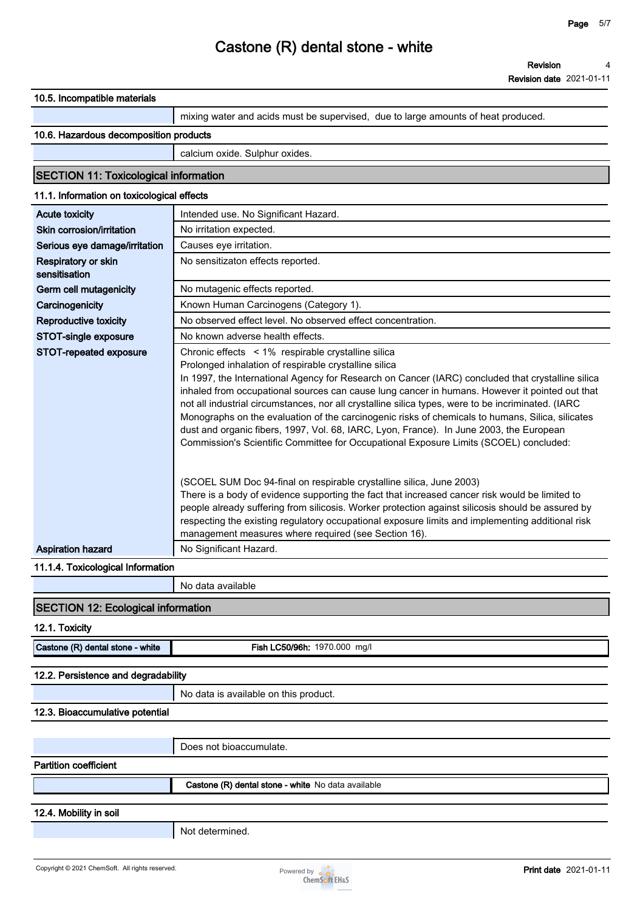**Revision date 2021-01-11**

| 10.5. Incompatible materials                    |                                                                                                                                                                                                                                                                                                                                                                                                                                                                                                                                                                                                                                                            |
|-------------------------------------------------|------------------------------------------------------------------------------------------------------------------------------------------------------------------------------------------------------------------------------------------------------------------------------------------------------------------------------------------------------------------------------------------------------------------------------------------------------------------------------------------------------------------------------------------------------------------------------------------------------------------------------------------------------------|
|                                                 | mixing water and acids must be supervised, due to large amounts of heat produced.                                                                                                                                                                                                                                                                                                                                                                                                                                                                                                                                                                          |
| 10.6. Hazardous decomposition products          |                                                                                                                                                                                                                                                                                                                                                                                                                                                                                                                                                                                                                                                            |
|                                                 | calcium oxide. Sulphur oxides.                                                                                                                                                                                                                                                                                                                                                                                                                                                                                                                                                                                                                             |
| <b>SECTION 11: Toxicological information</b>    |                                                                                                                                                                                                                                                                                                                                                                                                                                                                                                                                                                                                                                                            |
| 11.1. Information on toxicological effects      |                                                                                                                                                                                                                                                                                                                                                                                                                                                                                                                                                                                                                                                            |
| <b>Acute toxicity</b>                           | Intended use. No Significant Hazard.                                                                                                                                                                                                                                                                                                                                                                                                                                                                                                                                                                                                                       |
| Skin corrosion/irritation                       | No irritation expected.                                                                                                                                                                                                                                                                                                                                                                                                                                                                                                                                                                                                                                    |
| Serious eye damage/irritation                   | Causes eye irritation.                                                                                                                                                                                                                                                                                                                                                                                                                                                                                                                                                                                                                                     |
| Respiratory or skin<br>sensitisation            | No sensitizaton effects reported.                                                                                                                                                                                                                                                                                                                                                                                                                                                                                                                                                                                                                          |
| Germ cell mutagenicity                          | No mutagenic effects reported.                                                                                                                                                                                                                                                                                                                                                                                                                                                                                                                                                                                                                             |
| Carcinogenicity                                 | Known Human Carcinogens (Category 1).                                                                                                                                                                                                                                                                                                                                                                                                                                                                                                                                                                                                                      |
| <b>Reproductive toxicity</b>                    | No observed effect level. No observed effect concentration.                                                                                                                                                                                                                                                                                                                                                                                                                                                                                                                                                                                                |
| STOT-single exposure                            | No known adverse health effects.                                                                                                                                                                                                                                                                                                                                                                                                                                                                                                                                                                                                                           |
| STOT-repeated exposure                          | Chronic effects < 1% respirable crystalline silica                                                                                                                                                                                                                                                                                                                                                                                                                                                                                                                                                                                                         |
|                                                 | Prolonged inhalation of respirable crystalline silica<br>In 1997, the International Agency for Research on Cancer (IARC) concluded that crystalline silica<br>inhaled from occupational sources can cause lung cancer in humans. However it pointed out that<br>not all industrial circumstances, nor all crystalline silica types, were to be incriminated. (IARC<br>Monographs on the evaluation of the carcinogenic risks of chemicals to humans, Silica, silicates<br>dust and organic fibers, 1997, Vol. 68, IARC, Lyon, France). In June 2003, the European<br>Commission's Scientific Committee for Occupational Exposure Limits (SCOEL) concluded: |
|                                                 | (SCOEL SUM Doc 94-final on respirable crystalline silica, June 2003)<br>There is a body of evidence supporting the fact that increased cancer risk would be limited to<br>people already suffering from silicosis. Worker protection against silicosis should be assured by<br>respecting the existing regulatory occupational exposure limits and implementing additional risk<br>management measures where required (see Section 16).                                                                                                                                                                                                                    |
| <b>Aspiration hazard</b>                        | No Significant Hazard.                                                                                                                                                                                                                                                                                                                                                                                                                                                                                                                                                                                                                                     |
| 11.1.4. Toxicological Information               |                                                                                                                                                                                                                                                                                                                                                                                                                                                                                                                                                                                                                                                            |
|                                                 | No data available                                                                                                                                                                                                                                                                                                                                                                                                                                                                                                                                                                                                                                          |
| <b>SECTION 12: Ecological information</b>       |                                                                                                                                                                                                                                                                                                                                                                                                                                                                                                                                                                                                                                                            |
| 12.1. Toxicity                                  |                                                                                                                                                                                                                                                                                                                                                                                                                                                                                                                                                                                                                                                            |
| Castone (R) dental stone - white                | Fish LC50/96h: 1970.000 mg/l                                                                                                                                                                                                                                                                                                                                                                                                                                                                                                                                                                                                                               |
| 12.2. Persistence and degradability             |                                                                                                                                                                                                                                                                                                                                                                                                                                                                                                                                                                                                                                                            |
|                                                 | No data is available on this product.                                                                                                                                                                                                                                                                                                                                                                                                                                                                                                                                                                                                                      |
| 12.3. Bioaccumulative potential                 |                                                                                                                                                                                                                                                                                                                                                                                                                                                                                                                                                                                                                                                            |
|                                                 |                                                                                                                                                                                                                                                                                                                                                                                                                                                                                                                                                                                                                                                            |
|                                                 | Does not bioaccumulate.                                                                                                                                                                                                                                                                                                                                                                                                                                                                                                                                                                                                                                    |
| <b>Partition coefficient</b>                    |                                                                                                                                                                                                                                                                                                                                                                                                                                                                                                                                                                                                                                                            |
|                                                 | Castone (R) dental stone - white No data available                                                                                                                                                                                                                                                                                                                                                                                                                                                                                                                                                                                                         |
| 12.4. Mobility in soil                          |                                                                                                                                                                                                                                                                                                                                                                                                                                                                                                                                                                                                                                                            |
|                                                 | Not determined.                                                                                                                                                                                                                                                                                                                                                                                                                                                                                                                                                                                                                                            |
|                                                 |                                                                                                                                                                                                                                                                                                                                                                                                                                                                                                                                                                                                                                                            |
| Copyright © 2021 ChemSoft. All rights reserved. | <b>Print date 2021-01-11</b>                                                                                                                                                                                                                                                                                                                                                                                                                                                                                                                                                                                                                               |
|                                                 | Powered by <b>o</b> o o<br><b>ChemSoft EH&amp;S</b>                                                                                                                                                                                                                                                                                                                                                                                                                                                                                                                                                                                                        |

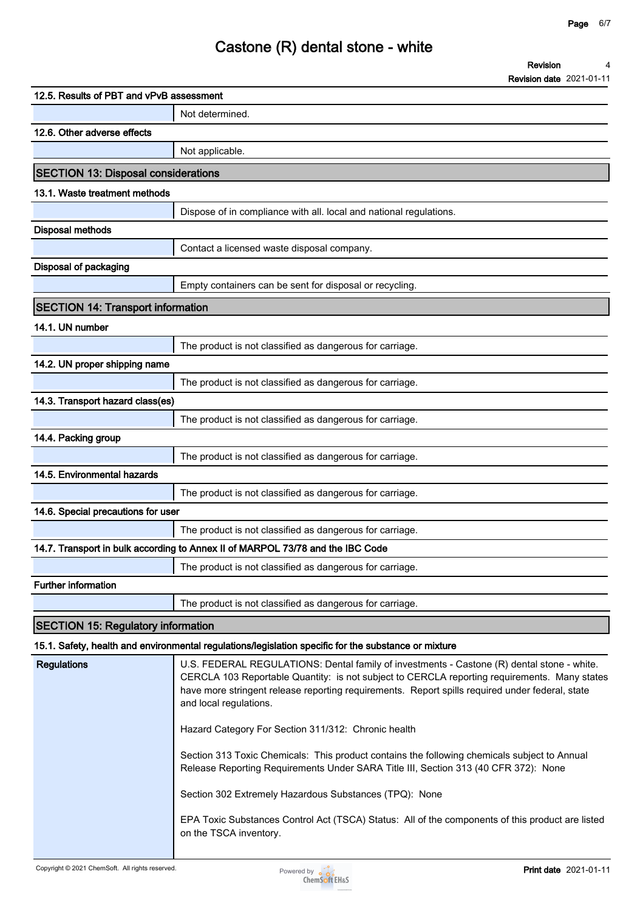**Revision date 2021-01-11**

**4**

**Revision**

# **Castone (R) dental stone - white**

| 12.5. Results of PBT and vPvB assessment   |                                                                                                                                                                                                                                                                                                                                                                                |
|--------------------------------------------|--------------------------------------------------------------------------------------------------------------------------------------------------------------------------------------------------------------------------------------------------------------------------------------------------------------------------------------------------------------------------------|
|                                            | Not determined.                                                                                                                                                                                                                                                                                                                                                                |
| 12.6. Other adverse effects                |                                                                                                                                                                                                                                                                                                                                                                                |
|                                            | Not applicable.                                                                                                                                                                                                                                                                                                                                                                |
| <b>SECTION 13: Disposal considerations</b> |                                                                                                                                                                                                                                                                                                                                                                                |
| 13.1. Waste treatment methods              |                                                                                                                                                                                                                                                                                                                                                                                |
|                                            | Dispose of in compliance with all. local and national regulations.                                                                                                                                                                                                                                                                                                             |
| <b>Disposal methods</b>                    |                                                                                                                                                                                                                                                                                                                                                                                |
|                                            | Contact a licensed waste disposal company.                                                                                                                                                                                                                                                                                                                                     |
| Disposal of packaging                      |                                                                                                                                                                                                                                                                                                                                                                                |
|                                            | Empty containers can be sent for disposal or recycling.                                                                                                                                                                                                                                                                                                                        |
| <b>SECTION 14: Transport information</b>   |                                                                                                                                                                                                                                                                                                                                                                                |
| 14.1. UN number                            |                                                                                                                                                                                                                                                                                                                                                                                |
|                                            | The product is not classified as dangerous for carriage.                                                                                                                                                                                                                                                                                                                       |
| 14.2. UN proper shipping name              |                                                                                                                                                                                                                                                                                                                                                                                |
|                                            | The product is not classified as dangerous for carriage.                                                                                                                                                                                                                                                                                                                       |
| 14.3. Transport hazard class(es)           |                                                                                                                                                                                                                                                                                                                                                                                |
|                                            | The product is not classified as dangerous for carriage.                                                                                                                                                                                                                                                                                                                       |
| 14.4. Packing group                        |                                                                                                                                                                                                                                                                                                                                                                                |
|                                            | The product is not classified as dangerous for carriage.                                                                                                                                                                                                                                                                                                                       |
| 14.5. Environmental hazards                |                                                                                                                                                                                                                                                                                                                                                                                |
|                                            | The product is not classified as dangerous for carriage.                                                                                                                                                                                                                                                                                                                       |
| 14.6. Special precautions for user         |                                                                                                                                                                                                                                                                                                                                                                                |
|                                            | The product is not classified as dangerous for carriage.                                                                                                                                                                                                                                                                                                                       |
|                                            | 14.7. Transport in bulk according to Annex II of MARPOL 73/78 and the IBC Code                                                                                                                                                                                                                                                                                                 |
|                                            | The product is not classified as dangerous for carriage.                                                                                                                                                                                                                                                                                                                       |
| <b>Further information</b>                 |                                                                                                                                                                                                                                                                                                                                                                                |
|                                            | The product is not classified as dangerous for carriage.                                                                                                                                                                                                                                                                                                                       |
| <b>SECTION 15: Regulatory information</b>  |                                                                                                                                                                                                                                                                                                                                                                                |
|                                            | 15.1. Safety, health and environmental regulations/legislation specific for the substance or mixture                                                                                                                                                                                                                                                                           |
| <b>Regulations</b>                         | U.S. FEDERAL REGULATIONS: Dental family of investments - Castone (R) dental stone - white.<br>CERCLA 103 Reportable Quantity: is not subject to CERCLA reporting requirements. Many states<br>have more stringent release reporting requirements. Report spills required under federal, state<br>and local regulations.<br>Hazard Category For Section 311/312: Chronic health |